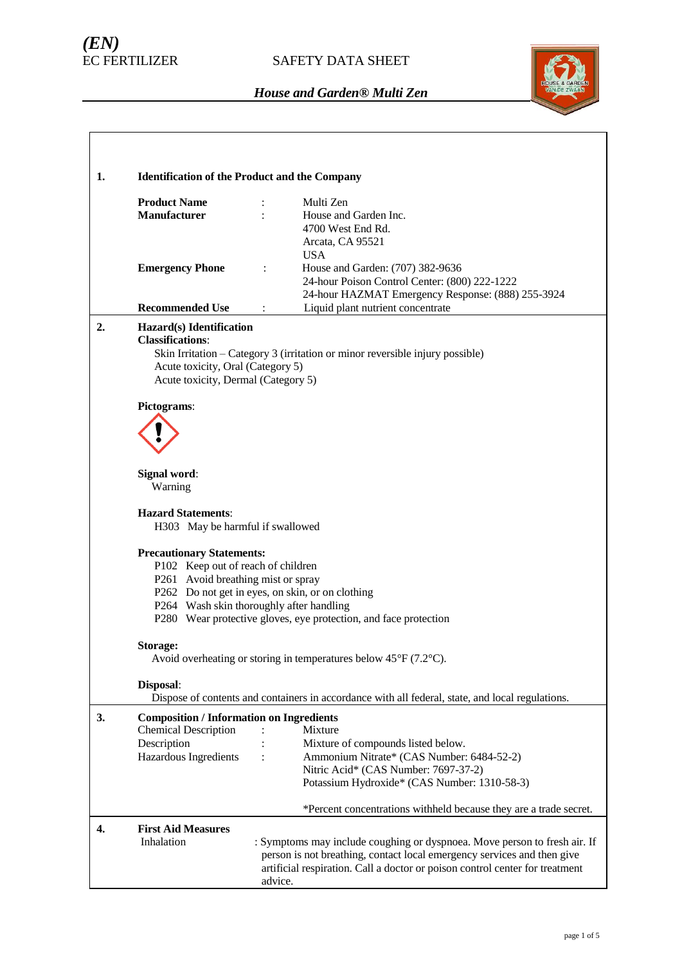# *(EN)*

## SAFETY DATA SHEET



| 1. | <b>Identification of the Product and the Company</b>                                                                   |                                                                                                                                                                                                                                                 |  |  |  |
|----|------------------------------------------------------------------------------------------------------------------------|-------------------------------------------------------------------------------------------------------------------------------------------------------------------------------------------------------------------------------------------------|--|--|--|
|    | <b>Product Name</b><br><b>Manufacturer</b>                                                                             | Multi Zen<br>$\ddot{\cdot}$<br>House and Garden Inc.<br>4700 West End Rd.<br>Arcata, CA 95521                                                                                                                                                   |  |  |  |
|    | <b>Emergency Phone</b><br><b>Recommended Use</b>                                                                       | <b>USA</b><br>House and Garden: (707) 382-9636<br>24-hour Poison Control Center: (800) 222-1222<br>24-hour HAZMAT Emergency Response: (888) 255-3924<br>Liquid plant nutrient concentrate<br>÷                                                  |  |  |  |
| 2. | Hazard(s) Identification                                                                                               |                                                                                                                                                                                                                                                 |  |  |  |
|    | <b>Classifications:</b><br>Acute toxicity, Oral (Category 5)<br>Acute toxicity, Dermal (Category 5)                    | Skin Irritation - Category 3 (irritation or minor reversible injury possible)                                                                                                                                                                   |  |  |  |
|    | Pictograms:                                                                                                            |                                                                                                                                                                                                                                                 |  |  |  |
|    | Signal word:<br>Warning                                                                                                |                                                                                                                                                                                                                                                 |  |  |  |
|    | <b>Hazard Statements:</b><br>H303 May be harmful if swallowed                                                          |                                                                                                                                                                                                                                                 |  |  |  |
|    | <b>Precautionary Statements:</b><br>P102 Keep out of reach of children<br>P261 Avoid breathing mist or spray           | P262 Do not get in eyes, on skin, or on clothing<br>P264 Wash skin thoroughly after handling<br>P280 Wear protective gloves, eye protection, and face protection                                                                                |  |  |  |
|    | Storage:                                                                                                               | Avoid overheating or storing in temperatures below $45^{\circ}F(7.2^{\circ}C)$ .                                                                                                                                                                |  |  |  |
|    | Disposal:                                                                                                              | Dispose of contents and containers in accordance with all federal, state, and local regulations.                                                                                                                                                |  |  |  |
| 3. | <b>Composition / Information on Ingredients</b><br><b>Chemical Description</b><br>Description<br>Hazardous Ingredients | Mixture<br>Mixture of compounds listed below.<br>Ammonium Nitrate* (CAS Number: 6484-52-2)<br>Nitric Acid* (CAS Number: 7697-37-2)<br>Potassium Hydroxide* (CAS Number: 1310-58-3)                                                              |  |  |  |
|    |                                                                                                                        | *Percent concentrations withheld because they are a trade secret.                                                                                                                                                                               |  |  |  |
| 4. | <b>First Aid Measures</b><br>Inhalation                                                                                | : Symptoms may include coughing or dyspnoea. Move person to fresh air. If<br>person is not breathing, contact local emergency services and then give<br>artificial respiration. Call a doctor or poison control center for treatment<br>advice. |  |  |  |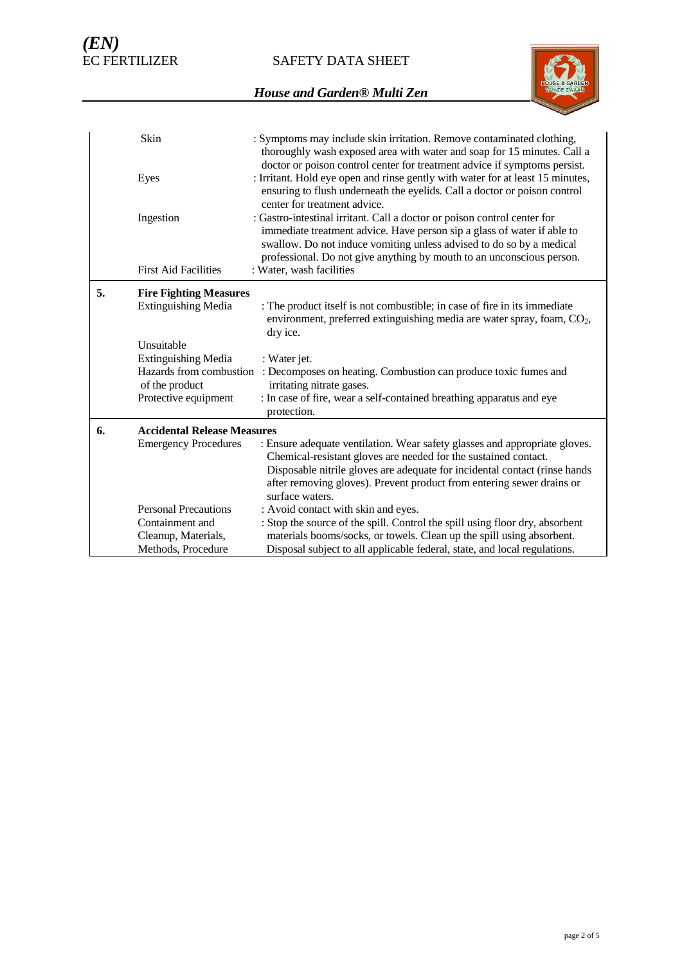SAFETY DATA SHEET



|    | Skin                                                                    | : Symptoms may include skin irritation. Remove contaminated clothing,<br>thoroughly wash exposed area with water and soap for 15 minutes. Call a<br>doctor or poison control center for treatment advice if symptoms persist.                                                                        |
|----|-------------------------------------------------------------------------|------------------------------------------------------------------------------------------------------------------------------------------------------------------------------------------------------------------------------------------------------------------------------------------------------|
|    | Eyes                                                                    | : Irritant. Hold eye open and rinse gently with water for at least 15 minutes,<br>ensuring to flush underneath the eyelids. Call a doctor or poison control<br>center for treatment advice.                                                                                                          |
|    | Ingestion                                                               | : Gastro-intestinal irritant. Call a doctor or poison control center for<br>immediate treatment advice. Have person sip a glass of water if able to<br>swallow. Do not induce vomiting unless advised to do so by a medical<br>professional. Do not give anything by mouth to an unconscious person. |
|    | <b>First Aid Facilities</b>                                             | : Water, wash facilities                                                                                                                                                                                                                                                                             |
| 5. | <b>Fire Fighting Measures</b>                                           |                                                                                                                                                                                                                                                                                                      |
|    | <b>Extinguishing Media</b>                                              | : The product itself is not combustible; in case of fire in its immediate<br>environment, preferred extinguishing media are water spray, foam, $CO2$ ,<br>dry ice.                                                                                                                                   |
|    | Unsuitable                                                              |                                                                                                                                                                                                                                                                                                      |
|    | <b>Extinguishing Media</b><br>Hazards from combustion<br>of the product | : Water jet.<br>: Decomposes on heating. Combustion can produce toxic fumes and<br>irritating nitrate gases.                                                                                                                                                                                         |
|    | Protective equipment                                                    | : In case of fire, wear a self-contained breathing apparatus and eye<br>protection.                                                                                                                                                                                                                  |
| 6. | <b>Accidental Release Measures</b>                                      |                                                                                                                                                                                                                                                                                                      |
|    | <b>Emergency Procedures</b>                                             | : Ensure adequate ventilation. Wear safety glasses and appropriate gloves.<br>Chemical-resistant gloves are needed for the sustained contact.<br>Disposable nitrile gloves are adequate for incidental contact (rinse hands<br>after removing gloves). Prevent product from entering sewer drains or |
|    |                                                                         | surface waters.                                                                                                                                                                                                                                                                                      |
|    | <b>Personal Precautions</b><br>Containment and                          | : Avoid contact with skin and eyes.                                                                                                                                                                                                                                                                  |
|    | Cleanup, Materials,                                                     | : Stop the source of the spill. Control the spill using floor dry, absorbent<br>materials booms/socks, or towels. Clean up the spill using absorbent.                                                                                                                                                |
|    | Methods, Procedure                                                      | Disposal subject to all applicable federal, state, and local regulations.                                                                                                                                                                                                                            |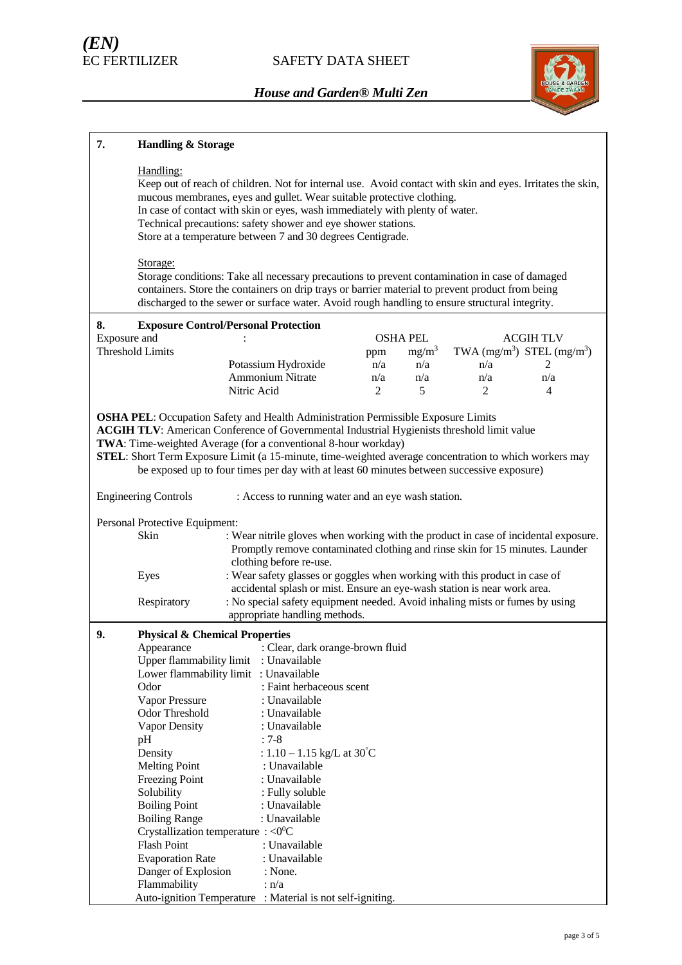

| 7.           | <b>Handling &amp; Storage</b>                        |                                                                                                                                                                                                                                                                                                                                                                                                                                                                        |          |                 |          |                                |
|--------------|------------------------------------------------------|------------------------------------------------------------------------------------------------------------------------------------------------------------------------------------------------------------------------------------------------------------------------------------------------------------------------------------------------------------------------------------------------------------------------------------------------------------------------|----------|-----------------|----------|--------------------------------|
|              | Handling:                                            | Keep out of reach of children. Not for internal use. Avoid contact with skin and eyes. Irritates the skin,<br>mucous membranes, eyes and gullet. Wear suitable protective clothing.<br>In case of contact with skin or eyes, wash immediately with plenty of water.<br>Technical precautions: safety shower and eye shower stations.<br>Store at a temperature between 7 and 30 degrees Centigrade.                                                                    |          |                 |          |                                |
|              | Storage:                                             | Storage conditions: Take all necessary precautions to prevent contamination in case of damaged<br>containers. Store the containers on drip trays or barrier material to prevent product from being<br>discharged to the sewer or surface water. Avoid rough handling to ensure structural integrity.                                                                                                                                                                   |          |                 |          |                                |
| 8.           |                                                      | <b>Exposure Control/Personal Protection</b>                                                                                                                                                                                                                                                                                                                                                                                                                            |          |                 |          |                                |
| Exposure and |                                                      |                                                                                                                                                                                                                                                                                                                                                                                                                                                                        |          | <b>OSHA PEL</b> |          | <b>ACGIHTLV</b>                |
|              | <b>Threshold Limits</b>                              |                                                                                                                                                                                                                                                                                                                                                                                                                                                                        | ppm      | $mg/m^3$        |          | TWA $(mg/m^3)$ STEL $(mg/m^3)$ |
|              |                                                      | Potassium Hydroxide<br><b>Ammonium Nitrate</b>                                                                                                                                                                                                                                                                                                                                                                                                                         | n/a      | n/a             | n/a      | 2                              |
|              |                                                      | Nitric Acid                                                                                                                                                                                                                                                                                                                                                                                                                                                            | n/a<br>2 | n/a<br>5        | n/a<br>2 | n/a<br>4                       |
|              |                                                      |                                                                                                                                                                                                                                                                                                                                                                                                                                                                        |          |                 |          |                                |
|              |                                                      | <b>OSHA PEL:</b> Occupation Safety and Health Administration Permissible Exposure Limits<br><b>ACGIH TLV:</b> American Conference of Governmental Industrial Hygienists threshold limit value<br>TWA: Time-weighted Average (for a conventional 8-hour workday)<br>STEL: Short Term Exposure Limit (a 15-minute, time-weighted average concentration to which workers may<br>be exposed up to four times per day with at least 60 minutes between successive exposure) |          |                 |          |                                |
|              | <b>Engineering Controls</b>                          | : Access to running water and an eye wash station.                                                                                                                                                                                                                                                                                                                                                                                                                     |          |                 |          |                                |
|              | Personal Protective Equipment:                       |                                                                                                                                                                                                                                                                                                                                                                                                                                                                        |          |                 |          |                                |
|              | Skin                                                 | : Wear nitrile gloves when working with the product in case of incidental exposure.<br>Promptly remove contaminated clothing and rinse skin for 15 minutes. Launder<br>clothing before re-use.                                                                                                                                                                                                                                                                         |          |                 |          |                                |
|              | Eyes                                                 | : Wear safety glasses or goggles when working with this product in case of<br>accidental splash or mist. Ensure an eye-wash station is near work area.                                                                                                                                                                                                                                                                                                                 |          |                 |          |                                |
|              | Respiratory                                          | : No special safety equipment needed. Avoid inhaling mists or fumes by using<br>appropriate handling methods.                                                                                                                                                                                                                                                                                                                                                          |          |                 |          |                                |
| 9.           | <b>Physical &amp; Chemical Properties</b>            |                                                                                                                                                                                                                                                                                                                                                                                                                                                                        |          |                 |          |                                |
|              |                                                      | Appearance : Clear, dark orange-brown fluid                                                                                                                                                                                                                                                                                                                                                                                                                            |          |                 |          |                                |
|              | Upper flammability limit                             | : Unavailable                                                                                                                                                                                                                                                                                                                                                                                                                                                          |          |                 |          |                                |
|              |                                                      | Lower flammability limit : Unavailable                                                                                                                                                                                                                                                                                                                                                                                                                                 |          |                 |          |                                |
|              | Odor                                                 | : Faint herbaceous scent                                                                                                                                                                                                                                                                                                                                                                                                                                               |          |                 |          |                                |
|              | Vapor Pressure<br>Odor Threshold                     | : Unavailable<br>: Unavailable                                                                                                                                                                                                                                                                                                                                                                                                                                         |          |                 |          |                                |
|              | Vapor Density                                        | : Unavailable                                                                                                                                                                                                                                                                                                                                                                                                                                                          |          |                 |          |                                |
|              | pH                                                   | $: 7-8$                                                                                                                                                                                                                                                                                                                                                                                                                                                                |          |                 |          |                                |
|              | Density                                              | : $1.10 - 1.15$ kg/L at 30°C                                                                                                                                                                                                                                                                                                                                                                                                                                           |          |                 |          |                                |
|              | <b>Melting Point</b>                                 | : Unavailable                                                                                                                                                                                                                                                                                                                                                                                                                                                          |          |                 |          |                                |
|              | Freezing Point                                       | : Unavailable                                                                                                                                                                                                                                                                                                                                                                                                                                                          |          |                 |          |                                |
|              | Solubility                                           | : Fully soluble                                                                                                                                                                                                                                                                                                                                                                                                                                                        |          |                 |          |                                |
|              | <b>Boiling Point</b>                                 | : Unavailable                                                                                                                                                                                                                                                                                                                                                                                                                                                          |          |                 |          |                                |
|              | <b>Boiling Range</b>                                 | : Unavailable                                                                                                                                                                                                                                                                                                                                                                                                                                                          |          |                 |          |                                |
|              | Crystallization temperature : $\langle 0^0C \rangle$ |                                                                                                                                                                                                                                                                                                                                                                                                                                                                        |          |                 |          |                                |
|              | <b>Flash Point</b><br><b>Evaporation Rate</b>        | : Unavailable<br>: Unavailable                                                                                                                                                                                                                                                                                                                                                                                                                                         |          |                 |          |                                |
|              | Danger of Explosion                                  | : None.                                                                                                                                                                                                                                                                                                                                                                                                                                                                |          |                 |          |                                |
|              | Flammability                                         | : n/a                                                                                                                                                                                                                                                                                                                                                                                                                                                                  |          |                 |          |                                |
|              |                                                      | Auto-ignition Temperature : Material is not self-igniting.                                                                                                                                                                                                                                                                                                                                                                                                             |          |                 |          |                                |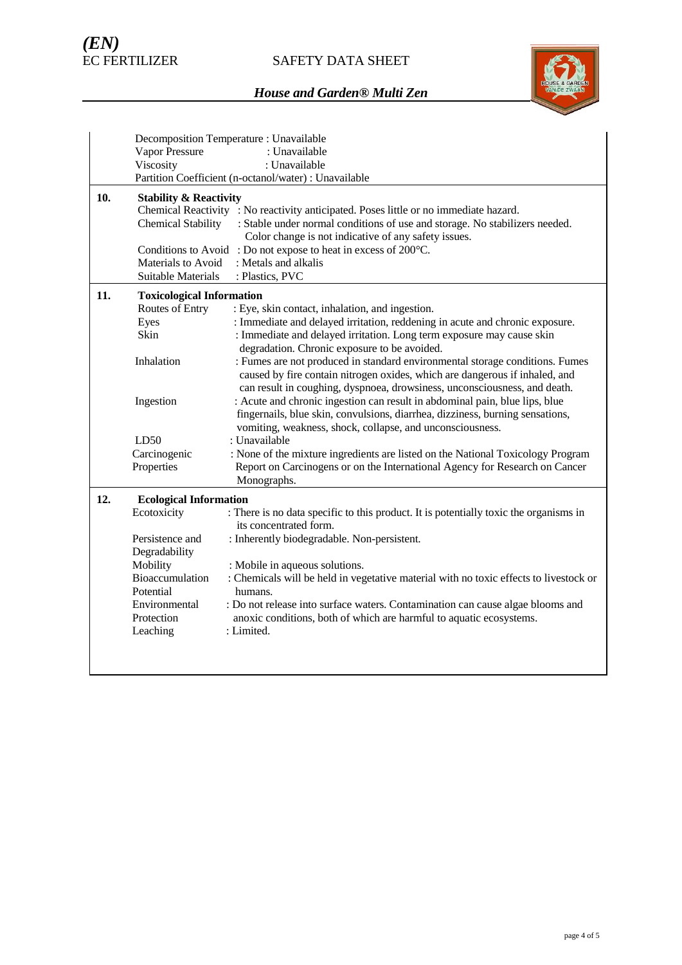## SAFETY DATA SHEET



|     | Decomposition Temperature : Unavailable                                               |                                                                                       |  |  |  |
|-----|---------------------------------------------------------------------------------------|---------------------------------------------------------------------------------------|--|--|--|
|     | Vapor Pressure                                                                        | : Unavailable                                                                         |  |  |  |
|     | Viscosity                                                                             | : Unavailable                                                                         |  |  |  |
|     |                                                                                       | Partition Coefficient (n-octanol/water) : Unavailable                                 |  |  |  |
| 10. | <b>Stability &amp; Reactivity</b>                                                     |                                                                                       |  |  |  |
|     | Chemical Reactivity : No reactivity anticipated. Poses little or no immediate hazard. |                                                                                       |  |  |  |
|     | <b>Chemical Stability</b>                                                             | : Stable under normal conditions of use and storage. No stabilizers needed.           |  |  |  |
|     |                                                                                       | Color change is not indicative of any safety issues.                                  |  |  |  |
|     |                                                                                       | Conditions to Avoid: Do not expose to heat in excess of 200°C.                        |  |  |  |
|     | Materials to Avoid                                                                    | : Metals and alkalis                                                                  |  |  |  |
|     | <b>Suitable Materials</b>                                                             | : Plastics, PVC                                                                       |  |  |  |
| 11. | <b>Toxicological Information</b>                                                      |                                                                                       |  |  |  |
|     | Routes of Entry                                                                       | : Eye, skin contact, inhalation, and ingestion.                                       |  |  |  |
|     | Eyes                                                                                  | : Immediate and delayed irritation, reddening in acute and chronic exposure.          |  |  |  |
|     | Skin                                                                                  | : Immediate and delayed irritation. Long term exposure may cause skin                 |  |  |  |
|     |                                                                                       | degradation. Chronic exposure to be avoided.                                          |  |  |  |
|     | Inhalation                                                                            | : Fumes are not produced in standard environmental storage conditions. Fumes          |  |  |  |
|     |                                                                                       | caused by fire contain nitrogen oxides, which are dangerous if inhaled, and           |  |  |  |
|     |                                                                                       | can result in coughing, dyspnoea, drowsiness, unconsciousness, and death.             |  |  |  |
|     | Ingestion                                                                             | : Acute and chronic ingestion can result in abdominal pain, blue lips, blue           |  |  |  |
|     |                                                                                       | fingernails, blue skin, convulsions, diarrhea, dizziness, burning sensations,         |  |  |  |
|     |                                                                                       | vomiting, weakness, shock, collapse, and unconsciousness.                             |  |  |  |
|     | LD50                                                                                  | : Unavailable                                                                         |  |  |  |
|     | Carcinogenic                                                                          | : None of the mixture ingredients are listed on the National Toxicology Program       |  |  |  |
|     | Properties                                                                            | Report on Carcinogens or on the International Agency for Research on Cancer           |  |  |  |
|     |                                                                                       | Monographs.                                                                           |  |  |  |
| 12. | <b>Ecological Information</b>                                                         |                                                                                       |  |  |  |
|     | Ecotoxicity                                                                           | : There is no data specific to this product. It is potentially toxic the organisms in |  |  |  |
|     |                                                                                       | its concentrated form.                                                                |  |  |  |
|     | Persistence and                                                                       | : Inherently biodegradable. Non-persistent.                                           |  |  |  |
|     | Degradability                                                                         |                                                                                       |  |  |  |
|     | Mobility                                                                              | : Mobile in aqueous solutions.                                                        |  |  |  |
|     | Bioaccumulation                                                                       | : Chemicals will be held in vegetative material with no toxic effects to livestock or |  |  |  |
|     | Potential                                                                             | humans.                                                                               |  |  |  |
|     | Environmental                                                                         | : Do not release into surface waters. Contamination can cause algae blooms and        |  |  |  |
|     | Protection                                                                            | anoxic conditions, both of which are harmful to aquatic ecosystems.                   |  |  |  |
|     | Leaching                                                                              | : Limited.                                                                            |  |  |  |
|     |                                                                                       |                                                                                       |  |  |  |
|     |                                                                                       |                                                                                       |  |  |  |
|     |                                                                                       |                                                                                       |  |  |  |